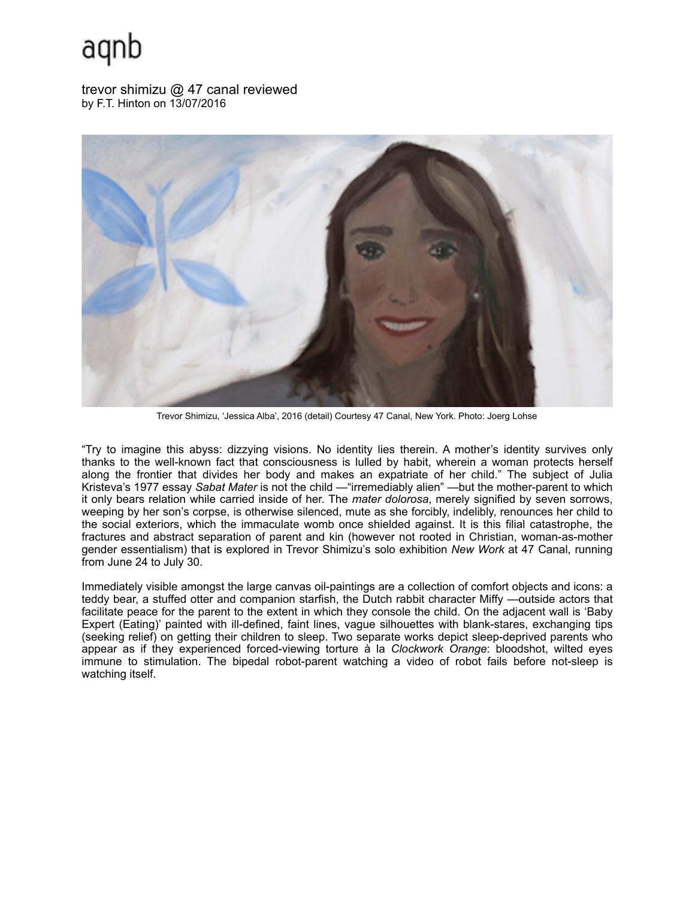## aqnb

trevor shimizu @ 47 canal reviewed by F.T. Hinton on 13/07/2016



Trevor Shimizu, 'Jessica Alba', 2016 (detail) Courtesy 47 Canal, New York. Photo: Joerg Lohse

"Try to imagine this abyss: dizzying visions. No identity lies therein. A mother's identity survives only thanks to the well-known fact that consciousness is lulled by habit, wherein a woman protects herself along the frontier that divides her body and makes an expatriate of her child." The subject of Julia Kristeva's 1977 essay *Sabat Mater* is not the child —"irremediably alien" —but the mother-parent to which it only bears relation while carried inside of her. The *mater dolorosa*, merely signified by seven sorrows, weeping by her son's corpse, is otherwise silenced, mute as she forcibly, indelibly, renounces her child to the social exteriors, which the immaculate womb once shielded against. It is this filial catastrophe, the fractures and abstract separation of parent and kin (however not rooted in Christian, woman-as-mother gender essentialism) that is explored in Trevor Shimizu's solo exhibition *New Work* at 47 Canal, running from June 24 to July 30.

Immediately visible amongst the large canvas oil-paintings are a collection of comfort objects and icons: a teddy bear, a stuffed otter and companion starfish, the Dutch rabbit character Miffy —outside actors that facilitate peace for the parent to the extent in which they console the child. On the adjacent wall is 'Baby Expert (Eating)' painted with ill-defined, faint lines, vague silhouettes with blank-stares, exchanging tips (seeking relief) on getting their children to sleep. Two separate works depict sleep-deprived parents who appear as if they experienced forced-viewing torture à la *Clockwork Orange*: bloodshot, wilted eyes immune to stimulation. The bipedal robot-parent watching a video of robot fails before not-sleep is watching itself.